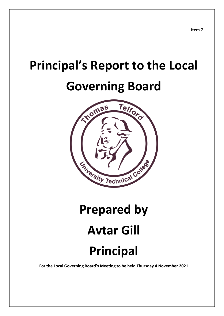# **Principal's Report to the Local**

# **Governing Board**



# **Prepared by Avtar Gill Principal**

**For the Local Governing Board's Meeting to be held Thursday 4 November 2021**

**Item 7**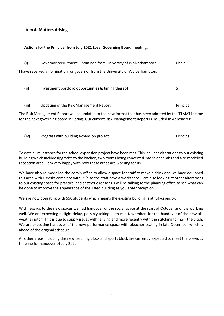### **Item 4: Matters Arising**

#### **Actions for the Principal from July 2021 Local Governing Board meeting:**

| (i)   | Governor recruitment – nominee from University of Wolverhampton                                                                                                                                                  | Chair     |
|-------|------------------------------------------------------------------------------------------------------------------------------------------------------------------------------------------------------------------|-----------|
|       | I have received a nomination for governor from the University of Wolverhampton.                                                                                                                                  |           |
| (ii)  | Investment portfolio opportunities & timing thereof                                                                                                                                                              | ST        |
| (iii) | Updating of the Risk Management Report                                                                                                                                                                           | Principal |
|       | The Risk Management Report will be updated to the new format that has been adopted by the TTMAT in time<br>for the next governing board in Spring. Our current Risk Management Report is included in Appendix B. |           |

**(iv)** Progress with building expansion project **Principal** Principal

To date all milestones for the school expansion project have been met. This includes alterations to our existing building which include upgrades to the kitchen, two rooms being converted into science labs and a re-modelled reception area. I am very happy with how these areas are working for us.

We have also re-modelled the admin office to allow a space for staff to make a drink and we have equipped this area with 6 desks complete with PC's so the staff have a workspace. I am also looking at other alterations to our existing space for practical and aesthetic reasons. I will be talking to the planning office to see what can be done to improve the appearance of the listed building as you enter reception.

We are now operating with 550 students which means the existing building is at full-capacity.

With regards to the new spaces we had handover of the social space at the start of October and it is working well. We are expecting a slight delay, possibly taking us to mid-November, for the handover of the new allweather pitch. This is due to supply issues with fencing and more recently with the stitching to mark the pitch. We are expecting handover of the new performance space with bleacher seating in late December which is ahead of the original schedule.

All other areas including the new teaching block and sports block are currently expected to meet the previous timeline for handover of July 2022.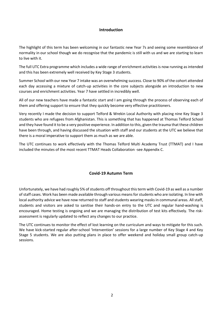# **Introduction**

The highlight of this term has been welcoming in our fantastic new Year 7s and seeing some resemblance of normality in our school though we do recognise that the pandemic is still with us and we are starting to learn to live with it.

The full UTC Extra programme which includes a wide range of enrichment activities is now running as intended and this has been extremely well received by Key Stage 3 students.

Summer School with our new Year 7 intake was an overwhelming success. Close to 90% of the cohort attended each day accessing a mixture of catch-up activities in the core subjects alongside an introduction to new courses and enrichment activities. Year 7 have settled in incredibly well.

All of our new teachers have made a fantastic start and I am going through the process of observing each of them and offering support to ensure that they quickly become very effective practitioners.

Very recently I made the decision to support Telford & Wrekin Local Authority with placing nine Key Stage 3 students who are refugees from Afghanistan. This is something that has happened at Thomas Telford School and they have found it to be a very positive experience. In addition to this, given the trauma that these children have been through, and having discussed the situation with staff and our students at the UTC we believe that there is a moral imperative to support them as much as we are able.

The UTC continues to work effectively with the Thomas Telford Multi Academy Trust (TTMAT) and I have included the minutes of the most recent TTMAT Heads Collaboration -see Appendix C.

# **Covid-19 Autumn Term**

Unfortunately, we have had roughly 5% of students off throughout this term with Covid-19 as well as a number of staff cases. Work has been made available through various means for students who are isolating. In line with local authority advice we have now returned to staff and students wearing masks in communal areas. All staff, students and visitors are asked to sanitise their hands-on entry to the UTC and regular hand-washing is encouraged. Home testing is ongoing and we are managing the distribution of test kits effectively. The riskassessment is regularly updated to reflect any changes to our practice.

The UTC continues to monitor the effect of lost learning on the curriculum and ways to mitigate for this such. We have kick-started regular after-school 'Intervention' sessions for a large number of Key Stage 4 and Key Stage 5 students. We are also putting plans in place to offer weekend and holiday small group catch-up sessions.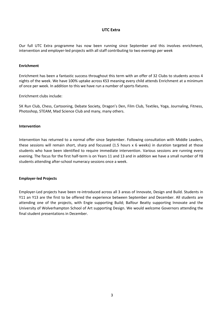#### **UTC Extra**

Our full UTC Extra programme has now been running since September and this involves enrichment, intervention and employer-led projects with all staff contributing to two evenings per week

#### **Enrichment**

Enrichment has been a fantastic success throughout this term with an offer of 32 Clubs to students across 4 nights of the week. We have 100% uptake across KS3 meaning every child attends Enrichment at a minimum of once per week. In addition to this we have run a number of sports fixtures.

Enrichment clubs include:

5K Run Club, Chess, Cartooning, Debate Society, Dragon's Den, Film Club, Textiles, Yoga, Journaling, Fitness, Photoshop, STEAM, Mad Science Club and many, many others.

#### **Intervention**

Intervention has returned to a normal offer since September. Following consultation with Middle Leaders, these sessions will remain short, sharp and focussed (1.5 hours x 6 weeks) in duration targeted at those students who have been identified to require immediate intervention. Various sessions are running every evening. The focus for the first half-term is on Years 11 and 13 and in addition we have a small number of Y8 students attending after-school numeracy sessions once a week.

#### **Employer-led Projects**

Employer-Led projects have been re-introduced across all 3 areas of Innovate, Design and Build. Students in Y11 an Y13 are the first to be offered the experience between September and December. All students are attending one of the projects, with Engie supporting Build; Balfour Beatty supporting Innovate and the University of Wolverhampton School of Art supporting Design. We would welcome Governors attending the final student presentations in December.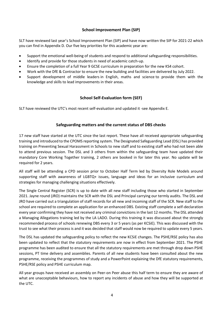# **School Improvement Plan (SIP)**

SLT have reviewed last year's School Improvement Plan (SIP) and have now written the SIP for 2021-22 which you can find in Appendix D. Our five key priorities for this academic year are:

- Support the emotional well-being of students and respond to additional safeguarding responsibilities.
- Identify and provide for those students in need of academic catch-up.
- Ensure the completion of a full Year 9 GCSE curriculum in preparation for the new KS4 cohort.
- Work with the DfE & Contractor to ensure the new building and facilities are delivered by July 2022.
- Support development of middle leaders in English, maths and science to provide them with the knowledge and skills to lead improvements in their areas.

# **School Self-Evaluation form (SEF)**

SLT have reviewed the UTC's most recent self-evaluation and updated it -see Appendix E.

# **Safeguarding matters and the current status of DBS checks**

17 new staff have started at the UTC since the last report. These have all received appropriate safeguarding training and introduced to the CPOMS reporting system. The Designated Safeguarding Lead (DSL) has provided training on Preventing Sexual Harassment in Schools to new staff and to existing staff who had not been able to attend previous session. The DSL and 3 others from within the safeguarding team have updated their mandatory Core Working Together training, 2 others are booked in for later this year. No update will be required for 2 years.

All staff will be attending a CPD session prior to October Half Term led by Diversity Role Models around supporting staff with awareness of LGBTQ+ issues, language and ideas for an inclusive curriculum and strategies for managing challenging situations effectively.

The Single Central Register (SCR) is up to date with all new staff including those who started in September 2021. Jayne round (JRO) maintains the SCR with the DSL and Principal carrying our termly audits. The DSL and JRO have carried out a triangulation of staff records for all new and incoming staff of the SCR. New staff to the school are required to complete an application for an enhanced DBS. Existing staff complete a self-declaration every year confirming they have not received any criminal convictions in the last 12 months. The DSL attended a Managing Allegations training led by the LA LADO. During this training it was discussed about the strongly recommended process of schools renewing DBS every 3 or 5 years (as per KCSiE). This was discussed with the trust to see what their process is and it was decided that staff would now be required to update every 5 years.

The DSL has updated the safeguarding policy to reflect the new KCSiE changes. The PSHE/RSE policy has also been updated to reflect that the statutory requirements are now in effect from September 2021. The PSHE programme has been audited to ensure that all the statutory requirements are met through drop down PSHE sessions, PT time delivery and assemblies. Parents of all new students have been consulted about the new programme, receiving the programmes of study and a PowerPoint explaining the DfE statutory requirements, PSHE/RSE policy and PSHE curriculum map.

All year groups have received an assembly on Peer-on Peer abuse this half term to ensure they are aware of what are unacceptable behaviours, how to report any incidents of abuse and how they will be supported at the UTC.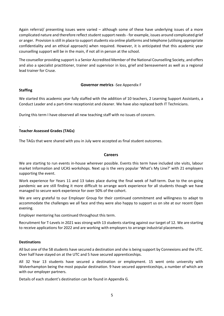Again referral/ presenting issues were varied – although some of these have underlying issues of a more complicated nature and therefore reflect student support needs - for example, issues around complicated grief or anger. Provision is still in place to support students via online platforms and telephone (utilising appropriate confidentiality and an ethical approach) when required. However, it is anticipated that this academic year counselling support will be in the main, if not all in person at the school.

The counsellor providing support is a Senior Accredited Member of the National Counselling Society, and offers and also a specialist practitioner, trainer and supervisor in loss, grief and bereavement as well as a regional lead trainer for Cruse.

### **Governor metrics** -See Appendix F

### **Staffing**

.

We started this academic year fully staffed with the addition of 10 teachers, 2 Learning Support Assistants, a Conduct Leader and a part-time receptionist and cleaner. We have also replaced both IT Technicians.

During this term I have observed all new teaching staff with no issues of concern.

# **Teacher Assessed Grades (TAGs)**

The TAGs that were shared with you in July were accepted as final student outcomes.

### **Careers**

We are starting to run events in-house wherever possible. Events this term have included site visits, labour market Information and UCAS workshops. Next up is the very popular 'What's My Line?' with 21 employers supporting the event.

Work experience for Years 11 and 13 takes place during the final week of half-term. Due to the on-going pandemic we are still finding it more difficult to arrange work experience for all students though we have managed to secure work experience for over 50% of the cohort.

We are very grateful to our Employer Group for their continued commitment and willingness to adapt to accommodate the challenges we all face and they were also happy to support us on site at our recent Open evening.

Employer mentoring has continued throughout this term.

Recruitment for T-Levels in 2021 was strong with 13 students starting against our target of 12. We are starting to receive applications for 2022 and are working with employers to arrange industrial placements.

# **Destinations**

All but one of the 58 students have secured a destination and she is being support by Connexions and the UTC. Over half have stayed on at the UTC and 5 have secured apprenticeships.

All 32 Year 13 students have secured a destination or employment. 15 went onto university with Wolverhampton being the most popular destination. 9 have secured apprenticeships, a number of which are with our employer partners.

Details of each student's destination can be found in Appendix G.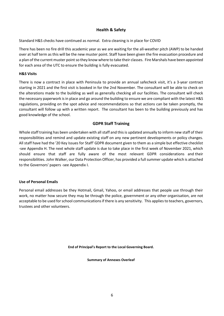# **Health & Safety**

Standard H&S checks have continued as normal. Extra cleaning is in place for COVID

There has been no fire drill this academic year as we are waiting for the all-weather pitch (AWP) to be handed over at half term as this will be the new muster point. Staff have been given the fire evacuation procedure and a plan of the current muster point so they know where to take their classes. Fire Marshals have been appointed for each area of the UTC to ensure the building is fully evacuated.

#### **H&S Visits**

There is now a contract in place with Peninsula to provide an annual safecheck visit, it's a 3-year contract starting in 2021 and the first visit is booked in for the 2nd November. The consultant will be able to check on the alterations made to the building as well as generally checking all our facilities. The consultant will check the necessary paperwork is in place and go around the building to ensure we are compliant with the latest H&S regulations, providing on the spot advice and recommendations so that actions can be taken promptly, the consultant will follow up with a written report. The consultant has been to the building previously and has good knowledge of the school.

# **GDPR Staff Training**

Whole staff training has been undertaken with all staff and this is updated annually to inform new staff of their responsibilities and remind and update existing staff on any new pertinent developments or policy changes. All staff have had the '20 Key Issues for Staff' GDPR document given to them as a simple but effective checklist -see Appendix H. The next whole staff update is due to take place in the first week of November 2021, which should ensure that staff are fully aware of the most relevant GDPR considerations and their responsibilities. John Walker, our Data Protection Officer, has provided a full summer update which is attached to the Governors' papers -see Appendix I.

#### **Use of Personal Emails**

Personal email addresses be they Hotmail, Gmail, Yahoo, or email addresses that people use through their work, no matter how secure they may be through the police, government or any other organisation, are not acceptable to be used for school communications if there is any sensitivity. This applies to teachers, governors, trustees and other volunteers.

**End of Principal's Report to the Local Governing Board.** 

**Summary of Annexes Overleaf**